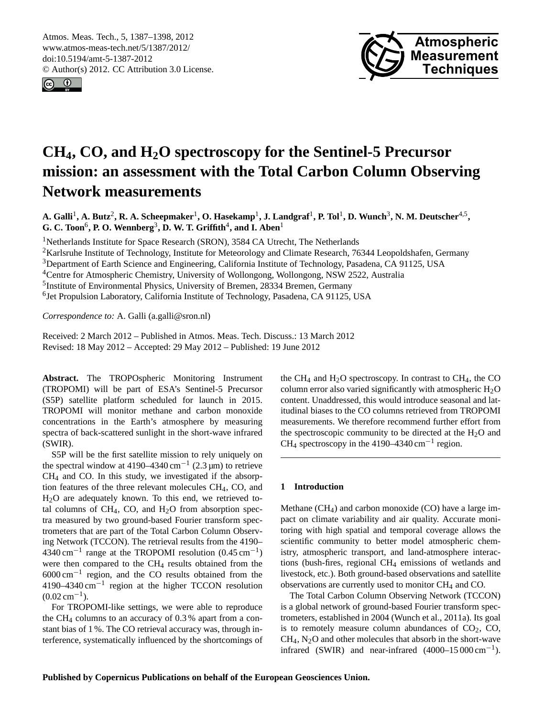<span id="page-0-0"></span>Atmos. Meas. Tech., 5, 1387–1398, 2012 www.atmos-meas-tech.net/5/1387/2012/ doi:10.5194/amt-5-1387-2012 © Author(s) 2012. CC Attribution 3.0 License.





# **CH4, CO, and H2O spectroscopy for the Sentinel-5 Precursor mission: an assessment with the Total Carbon Column Observing Network measurements**

 $A$ . Galli<sup>1</sup>, A. Butz<sup>2</sup>, R. A. Scheepmaker<sup>1</sup>, O. Hasekamp<sup>1</sup>, J. Landgraf<sup>1</sup>, P. Tol<sup>1</sup>, D. Wunch<sup>3</sup>, N. M. Deutscher<sup>4,5</sup>,  $G. C. Toon<sup>6</sup>, P. O. Wennberg<sup>3</sup>, D. W. T. Griffith<sup>4</sup>, and I. Aben<sup>1</sup>$ 

<sup>1</sup>Netherlands Institute for Space Research (SRON), 3584 CA Utrecht, The Netherlands

<sup>2</sup>Karlsruhe Institute of Technology, Institute for Meteorology and Climate Research, 76344 Leopoldshafen, Germany

<sup>3</sup>Department of Earth Science and Engineering, California Institute of Technology, Pasadena, CA 91125, USA

<sup>4</sup>Centre for Atmospheric Chemistry, University of Wollongong, Wollongong, NSW 2522, Australia

<sup>5</sup>Institute of Environmental Physics, University of Bremen, 28334 Bremen, Germany

<sup>6</sup>Jet Propulsion Laboratory, California Institute of Technology, Pasadena, CA 91125, USA

*Correspondence to:* A. Galli (a.galli@sron.nl)

Received: 2 March 2012 – Published in Atmos. Meas. Tech. Discuss.: 13 March 2012 Revised: 18 May 2012 – Accepted: 29 May 2012 – Published: 19 June 2012

**Abstract.** The TROPOspheric Monitoring Instrument (TROPOMI) will be part of ESA's Sentinel-5 Precursor (S5P) satellite platform scheduled for launch in 2015. TROPOMI will monitor methane and carbon monoxide concentrations in the Earth's atmosphere by measuring spectra of back-scattered sunlight in the short-wave infrared (SWIR).

S5P will be the first satellite mission to rely uniquely on the spectral window at 4190–4340 cm<sup>-1</sup> (2.3 µm) to retrieve CH<sup>4</sup> and CO. In this study, we investigated if the absorption features of the three relevant molecules CH4, CO, and H2O are adequately known. To this end, we retrieved total columns of  $CH_4$ , CO, and  $H_2O$  from absorption spectra measured by two ground-based Fourier transform spectrometers that are part of the Total Carbon Column Observing Network (TCCON). The retrieval results from the 4190–  $4340 \text{ cm}^{-1}$  range at the TROPOMI resolution  $(0.45 \text{ cm}^{-1})$ were then compared to the  $CH<sub>4</sub>$  results obtained from the 6000 cm−<sup>1</sup> region, and the CO results obtained from the 4190–4340 cm−<sup>1</sup> region at the higher TCCON resolution  $(0.02 \text{ cm}^{-1})$ .

For TROPOMI-like settings, we were able to reproduce the CH<sup>4</sup> columns to an accuracy of 0.3 % apart from a constant bias of 1 %. The CO retrieval accuracy was, through interference, systematically influenced by the shortcomings of the CH<sub>4</sub> and H<sub>2</sub>O spectroscopy. In contrast to CH<sub>4</sub>, the CO column error also varied significantly with atmospheric  $H_2O$ content. Unaddressed, this would introduce seasonal and latitudinal biases to the CO columns retrieved from TROPOMI measurements. We therefore recommend further effort from the spectroscopic community to be directed at the  $H_2O$  and CH<sub>4</sub> spectroscopy in the 4190–4340 cm<sup>-1</sup> region.

# **1 Introduction**

Methane  $(CH_4)$  and carbon monoxide  $(CO)$  have a large impact on climate variability and air quality. Accurate monitoring with high spatial and temporal coverage allows the scientific community to better model atmospheric chemistry, atmospheric transport, and land-atmosphere interactions (bush-fires, regional CH<sup>4</sup> emissions of wetlands and livestock, etc.). Both ground-based observations and satellite observations are currently used to monitor CH<sup>4</sup> and CO.

The Total Carbon Column Observing Network (TCCON) is a global network of ground-based Fourier transform spectrometers, established in 2004 [\(Wunch et al.,](#page-11-0) [2011a\)](#page-11-0). Its goal is to remotely measure column abundances of  $CO<sub>2</sub>$ ,  $CO<sub>2</sub>$ ,  $CH<sub>4</sub>, N<sub>2</sub>O$  and other molecules that absorb in the short-wave infrared (SWIR) and near-infrared  $(4000-15000 \text{ cm}^{-1})$ .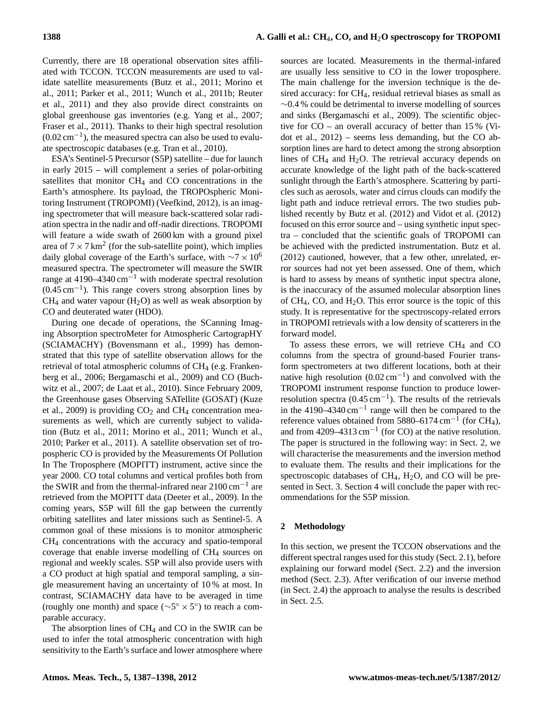Currently, there are 18 operational observation sites affiliated with TCCON. TCCON measurements are used to validate satellite measurements [\(Butz et al.,](#page-10-0) [2011;](#page-10-0) [Morino et](#page-10-1) [al.,](#page-10-1) [2011;](#page-10-1) [Parker et al.,](#page-10-2) [2011;](#page-10-2) [Wunch et al.,](#page-11-1) [2011b;](#page-11-1) [Reuter](#page-11-2) [et al.,](#page-11-2) [2011\)](#page-11-2) and they also provide direct constraints on global greenhouse gas inventories (e.g. [Yang et al.,](#page-11-3) [2007;](#page-11-3) [Fraser et al.,](#page-10-3) [2011\)](#page-10-3). Thanks to their high spectral resolution (0.02 cm−<sup>1</sup> ), the measured spectra can also be used to evaluate spectroscopic databases (e.g. [Tran et al.,](#page-11-4) [2010\)](#page-11-4).

ESA's Sentinel-5 Precursor (S5P) satellite – due for launch in early 2015 – will complement a series of polar-orbiting satellites that monitor  $CH<sub>4</sub>$  and CO concentrations in the Earth's atmosphere. Its payload, the TROPOspheric Monitoring Instrument (TROPOMI) [\(Veefkind,](#page-11-5) [2012\)](#page-11-5), is an imaging spectrometer that will measure back-scattered solar radiation spectra in the nadir and off-nadir directions. TROPOMI will feature a wide swath of 2600 km with a ground pixel area of  $7 \times 7 \text{ km}^2$  (for the sub-satellite point), which implies daily global coverage of the Earth's surface, with  $\sim$ 7 × 10<sup>6</sup> measured spectra. The spectrometer will measure the SWIR range at 4190–4340 cm<sup>-1</sup> with moderate spectral resolution (0.45 cm−<sup>1</sup> ). This range covers strong absorption lines by  $CH<sub>4</sub>$  and water vapour (H<sub>2</sub>O) as well as weak absorption by CO and deuterated water (HDO).

During one decade of operations, the SCanning Imaging Absorption spectroMeter for Atmospheric CartograpHY (SCIAMACHY) [\(Bovensmann et al.,](#page-10-4) [1999\)](#page-10-4) has demonstrated that this type of satellite observation allows for the retrieval of total atmospheric columns of  $CH_4$  (e.g. [Franken](#page-10-5)[berg et al.,](#page-10-5) [2006;](#page-10-5) [Bergamaschi et al.,](#page-10-6) [2009\)](#page-10-6) and CO [\(Buch](#page-10-7)[witz et al.,](#page-10-7) [2007;](#page-10-7) [de Laat et al.,](#page-10-8) [2010\)](#page-10-8). Since February 2009, the Greenhouse gases Observing SATellite (GOSAT) [\(Kuze](#page-10-9) [et al.,](#page-10-9) [2009\)](#page-10-9) is providing  $CO<sub>2</sub>$  and  $CH<sub>4</sub>$  concentration measurements as well, which are currently subject to validation [\(Butz et al.,](#page-10-0) [2011;](#page-10-0) [Morino et al.,](#page-10-1) [2011;](#page-10-1) [Wunch et al.,](#page-11-6) [2010;](#page-11-6) [Parker et al.,](#page-10-2) [2011\)](#page-10-2). A satellite observation set of tropospheric CO is provided by the Measurements Of Pollution In The Troposphere (MOPITT) instrument, active since the year 2000. CO total columns and vertical profiles both from the SWIR and from the thermal-infrared near 2100 cm−<sup>1</sup> are retrieved from the MOPITT data [\(Deeter et al.,](#page-10-10) [2009\)](#page-10-10). In the coming years, S5P will fill the gap between the currently orbiting satellites and later missions such as Sentinel-5. A common goal of these missions is to monitor atmospheric CH<sup>4</sup> concentrations with the accuracy and spatio-temporal coverage that enable inverse modelling of CH<sup>4</sup> sources on regional and weekly scales. S5P will also provide users with a CO product at high spatial and temporal sampling, a single measurement having an uncertainty of 10 % at most. In contrast, SCIAMACHY data have to be averaged in time (roughly one month) and space ( $\sim$ 5° × 5°) to reach a comparable accuracy.

The absorption lines of  $CH<sub>4</sub>$  and CO in the SWIR can be used to infer the total atmospheric concentration with high sensitivity to the Earth's surface and lower atmosphere where sources are located. Measurements in the thermal-infared are usually less sensitive to CO in the lower troposphere. The main challenge for the inversion technique is the desired accuracy: for CH4, residual retrieval biases as small as ∼0.4 % could be detrimental to inverse modelling of sources and sinks [\(Bergamaschi et al.,](#page-10-6) [2009\)](#page-10-6). The scientific objective for CO – an overall accuracy of better than 15 % [\(Vi](#page-11-7)[dot et al.,](#page-11-7) [2012\)](#page-11-7) – seems less demanding, but the CO absorption lines are hard to detect among the strong absorption lines of  $CH_4$  and  $H_2O$ . The retrieval accuracy depends on accurate knowledge of the light path of the back-scattered sunlight through the Earth's atmosphere. Scattering by particles such as aerosols, water and cirrus clouds can modify the light path and induce retrieval errors. The two studies published recently by [Butz et al.](#page-10-11) [\(2012\)](#page-10-11) and [Vidot et al.](#page-11-7) [\(2012\)](#page-11-7) focused on this error source and – using synthetic input spectra – concluded that the scientific goals of TROPOMI can be achieved with the predicted instrumentation. [Butz et al.](#page-10-11) [\(2012\)](#page-10-11) cautioned, however, that a few other, unrelated, error sources had not yet been assessed. One of them, which is hard to assess by means of synthetic input spectra alone, is the inaccuracy of the assumed molecular absorption lines of  $CH_4$ , CO, and H<sub>2</sub>O. This error source is the topic of this study. It is representative for the spectroscopy-related errors in TROPOMI retrievals with a low density of scatterers in the forward model.

To assess these errors, we will retrieve  $CH<sub>4</sub>$  and CO columns from the spectra of ground-based Fourier transform spectrometers at two different locations, both at their native high resolution  $(0.02 \text{ cm}^{-1})$  and convolved with the TROPOMI instrument response function to produce lowerresolution spectra  $(0.45 \text{ cm}^{-1})$ . The results of the retrievals in the 4190–4340 cm−<sup>1</sup> range will then be compared to the reference values obtained from 5880–6174 cm<sup>-1</sup> (for CH<sub>4</sub>), and from  $4209-4313$  cm<sup>-1</sup> (for CO) at the native resolution. The paper is structured in the following way: in Sect. [2,](#page-1-0) we will characterise the measurements and the inversion method to evaluate them. The results and their implications for the spectroscopic databases of  $CH_4$ ,  $H_2O$ , and CO will be presented in Sect. [3.](#page-4-0) Section [4](#page-9-0) will conclude the paper with recommendations for the S5P mission.

#### <span id="page-1-0"></span>**2 Methodology**

In this section, we present the TCCON observations and the different spectral ranges used for this study (Sect. [2.1\)](#page-2-0), before explaining our forward model (Sect. [2.2\)](#page-2-1) and the inversion method (Sect. [2.3\)](#page-3-0). After verification of our inverse method (in Sect. [2.4\)](#page-4-1) the approach to analyse the results is described in Sect. [2.5.](#page-4-2)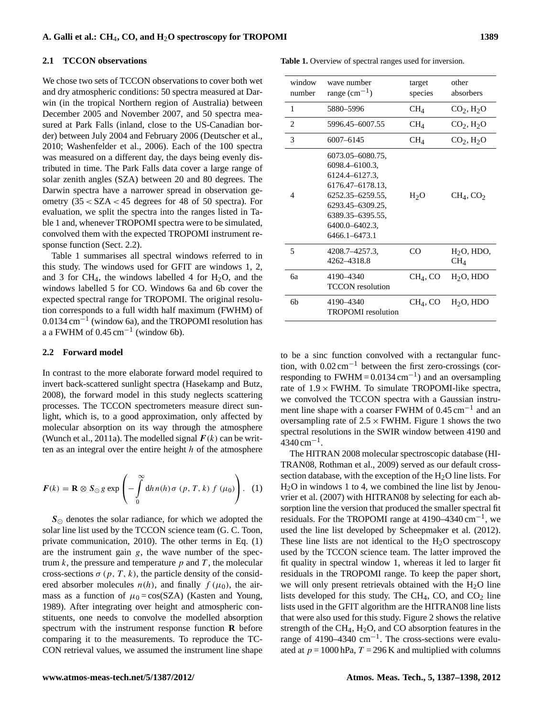## <span id="page-2-0"></span>**2.1 TCCON observations**

We chose two sets of TCCON observations to cover both wet and dry atmospheric conditions: 50 spectra measured at Darwin (in the tropical Northern region of Australia) between December 2005 and November 2007, and 50 spectra measured at Park Falls (inland, close to the US-Canadian border) between July 2004 and February 2006 [\(Deutscher et al.,](#page-10-12) [2010;](#page-10-12) [Washenfelder et al.,](#page-11-8) [2006\)](#page-11-8). Each of the 100 spectra was measured on a different day, the days being evenly distributed in time. The Park Falls data cover a large range of solar zenith angles (SZA) between 20 and 80 degrees. The Darwin spectra have a narrower spread in observation geometry (35 < SZA < 45 degrees for 48 of 50 spectra). For evaluation, we split the spectra into the ranges listed in Table [1](#page-2-2) and, whenever TROPOMI spectra were to be simulated, convolved them with the expected TROPOMI instrument response function (Sect. [2.2\)](#page-2-1).

Table [1](#page-2-2) summarises all spectral windows referred to in this study. The windows used for GFIT are windows 1, 2, and 3 for CH<sub>4</sub>, the windows labelled 4 for H<sub>2</sub>O, and the windows labelled 5 for CO. Windows 6a and 6b cover the expected spectral range for TROPOMI. The original resolution corresponds to a full width half maximum (FWHM) of  $0.0134 \text{ cm}^{-1}$  (window 6a), and the TROPOMI resolution has a a FWHM of  $0.45 \text{ cm}^{-1}$  (window 6b).

### <span id="page-2-1"></span>**2.2 Forward model**

In contrast to the more elaborate forward model required to invert back-scattered sunlight spectra [\(Hasekamp and Butz,](#page-10-13) [2008\)](#page-10-13), the forward model in this study neglects scattering processes. The TCCON spectrometers measure direct sunlight, which is, to a good approximation, only affected by molecular absorption on its way through the atmosphere [\(Wunch et al.,](#page-11-0) [2011a\)](#page-11-0). The modelled signal  $F(k)$  can be written as an integral over the entire height  $h$  of the atmosphere

<span id="page-2-3"></span>
$$
\boldsymbol{F}(k) = \mathbf{R} \otimes \mathbf{S}_{\odot} g \exp\left(-\int\limits_{0}^{\infty} \mathrm{d}h \, n(h) \, \sigma \, (p, T, k) \, f \, (\mu_0)\right). \tag{1}
$$

 $S_{\odot}$  denotes the solar radiance, for which we adopted the solar line list used by the TCCON science team (G. C. Toon, private communication, 2010). The other terms in Eq. [\(1\)](#page-2-3) are the instrument gain  $g$ , the wave number of the spectrum  $k$ , the pressure and temperature  $p$  and  $T$ , the molecular cross-sections  $\sigma$  (p, T, k), the particle density of the considered absorber molecules  $n(h)$ , and finally  $f(\mu_0)$ , the airmass as a function of  $\mu_0 = \cos(SZA)$  [\(Kasten and Young,](#page-10-14) [1989\)](#page-10-14). After integrating over height and atmospheric constituents, one needs to convolve the modelled absorption spectrum with the instrument response function **R** before comparing it to the measurements. To reproduce the TC-CON retrieval values, we assumed the instrument line shape

<span id="page-2-2"></span>**Table 1.** Overview of spectral ranges used for inversion.

| window<br>number | wave number<br>range $\rm (cm^{-1})$                                                                                                                                    | target<br>species    | other<br>absorbers                 |
|------------------|-------------------------------------------------------------------------------------------------------------------------------------------------------------------------|----------------------|------------------------------------|
| 1                | 5880-5996                                                                                                                                                               | $CH_4$               | CO <sub>2</sub> , H <sub>2</sub> O |
| 2                | 5996.45-6007.55                                                                                                                                                         | $CH_4$               | CO <sub>2</sub> , H <sub>2</sub> O |
| 3                | 6007-6145                                                                                                                                                               | $CH_4$               | CO <sub>2</sub> , H <sub>2</sub> O |
| 4                | 6073.05–6080.75,<br>6098.4–6100.3.<br>6124.4–6127.3.<br>6176.47-6178.13,<br>6252.35–6259.55,<br>6293.45–6309.25,<br>6389.35-6395.55,<br>6400.0–6402.3,<br>6466.1-6473.1 | H <sub>2</sub> O     | $CH_4$ , CO <sub>2</sub>           |
| 5                | 4208.7–4257.3.<br>4262-4318.8                                                                                                                                           | CO                   | $H2O$ , HDO,<br>CH <sub>4</sub>    |
| ба               | 4190-4340<br><b>TCCON</b> resolution                                                                                                                                    | CH <sub>4</sub> , CO | $H2O$ , HDO                        |
| 6b               | 4190-4340<br><b>TROPOMI</b> resolution                                                                                                                                  | $CH_4$ , CO          | $H2O$ , HDO                        |

to be a sinc function convolved with a rectangular function, with  $0.02 \text{ cm}^{-1}$  between the first zero-crossings (corresponding to  $FWHM = 0.0134 \text{ cm}^{-1}$ ) and an oversampling rate of  $1.9 \times$  FWHM. To simulate TROPOMI-like spectra, we convolved the TCCON spectra with a Gaussian instrument line shape with a coarser FWHM of 0.45 cm<sup>-1</sup> and an oversampling rate of  $2.5 \times$  FWHM. Figure [1](#page-3-1) shows the two spectral resolutions in the SWIR window between 4190 and  $4340 \text{ cm}^{-1}$ .

The HITRAN 2008 molecular spectroscopic database (HI-TRAN08, [Rothman et al.,](#page-11-9) [2009\)](#page-11-9) served as our default crosssection database, with the exception of the  $H_2O$  line lists. For  $H<sub>2</sub>O$  in windows 1 to 4, we combined the line list by [Jenou](#page-10-15)[vrier et al.](#page-10-15) [\(2007\)](#page-10-15) with HITRAN08 by selecting for each absorption line the version that produced the smaller spectral fit residuals. For the TROPOMI range at 4190–4340 cm−<sup>1</sup> , we used the line list developed by [Scheepmaker et al.](#page-11-10) [\(2012\)](#page-11-10). These line lists are not identical to the  $H_2O$  spectroscopy used by the TCCON science team. The latter improved the fit quality in spectral window 1, whereas it led to larger fit residuals in the TROPOMI range. To keep the paper short, we will only present retrievals obtained with the  $H_2O$  line lists developed for this study. The CH<sub>4</sub>, CO, and CO<sub>2</sub> line lists used in the GFIT algorithm are the HITRAN08 line lists that were also used for this study. Figure [2](#page-3-2) shows the relative strength of the  $CH_4$ ,  $H_2O$ , and CO absorption features in the range of 4190–4340 cm−<sup>1</sup> . The cross-sections were evaluated at  $p = 1000$  hPa,  $T = 296$  K and multiplied with columns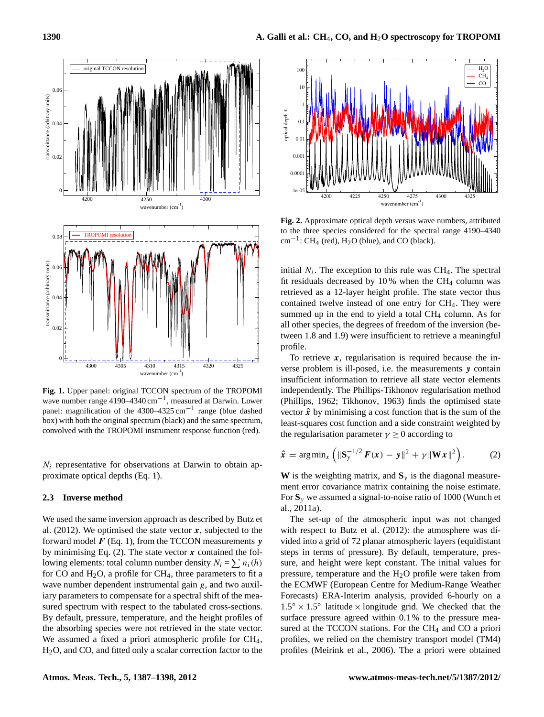

<span id="page-3-1"></span>**Fig. 1.** Upper panel: original TCCON spectrum of the TROPOMI wave number range 4190–4340 cm−<sup>1</sup> , measured at Darwin. Lower panel: magnification of the 4300–4325 cm<sup>-1</sup> range (blue dashed box) with both the original spectrum (black) and the same spectrum, convolved with the TROPOMI instrument response function (red).

 $N_i$  representative for observations at Darwin to obtain approximate optical depths (Eq. [1\)](#page-2-3).

## <span id="page-3-0"></span>**2.3 Inverse method**

We used the same inversion approach as described by [Butz et](#page-10-11) [al.](#page-10-11) [\(2012\)](#page-10-11). We optimised the state vector  $x$ , subjected to the forward model  $\vec{F}$  (Eq. [1\)](#page-2-3), from the TCCON measurements  $\vec{y}$ by minimising Eq.  $(2)$ . The state vector x contained the following elements: total column number density  $N_i = \sum n_i(h)$ for CO and  $H_2O$ , a profile for CH<sub>4</sub>, three parameters to fit a wave number dependent instrumental gain  $g$ , and two auxiliary parameters to compensate for a spectral shift of the measured spectrum with respect to the tabulated cross-sections. By default, pressure, temperature, and the height profiles of the absorbing species were not retrieved in the state vector. We assumed a fixed a priori atmospheric profile for CH<sub>4</sub>, H2O, and CO, and fitted only a scalar correction factor to the

![](_page_3_Figure_7.jpeg)

<span id="page-3-2"></span>**Fig. 2.** Approximate optical depth versus wave numbers, attributed to the three species considered for the spectral range 4190–4340 cm<sup>-1</sup>: CH<sub>4</sub> (red), H<sub>2</sub>O (blue), and CO (black).

initial  $N_i$ . The exception to this rule was CH<sub>4</sub>. The spectral fit residuals decreased by  $10\%$  when the CH<sub>4</sub> column was retrieved as a 12-layer height profile. The state vector thus contained twelve instead of one entry for CH4. They were summed up in the end to yield a total  $CH<sub>4</sub>$  column. As for all other species, the degrees of freedom of the inversion (between 1.8 and 1.9) were insufficient to retrieve a meaningful profile.

To retrieve  $x$ , regularisation is required because the inverse problem is ill-posed, i.e. the measurements y contain insufficient information to retrieve all state vector elements independently. The Phillips-Tikhonov regularisation method [\(Phillips,](#page-11-11) [1962;](#page-11-11) [Tikhonov,](#page-11-12) [1963\)](#page-11-12) finds the optimised state vector  $\hat{x}$  by minimising a cost function that is the sum of the least-squares cost function and a side constraint weighted by the regularisation parameter  $\gamma \geq 0$  according to

<span id="page-3-3"></span>
$$
\hat{\boldsymbol{x}} = \arg \min_{\boldsymbol{x}} \left( \|\mathbf{S}_{\mathbf{y}}^{-1/2} \boldsymbol{F}(\boldsymbol{x}) - \boldsymbol{y}\|^2 + \gamma \|\mathbf{W}\boldsymbol{x}\|^2 \right). \tag{2}
$$

**W** is the weighting matrix, and  $S_y$  is the diagonal measurement error covariance matrix containing the noise estimate. For  $S_y$  we assumed a signal-to-noise ratio of 1000 [\(Wunch et](#page-11-0) [al.,](#page-11-0) [2011a\)](#page-11-0).

The set-up of the atmospheric input was not changed with respect to [Butz et al.](#page-10-11) [\(2012\)](#page-10-11): the atmosphere was divided into a grid of 72 planar atmospheric layers (equidistant steps in terms of pressure). By default, temperature, pressure, and height were kept constant. The initial values for pressure, temperature and the  $H<sub>2</sub>O$  profile were taken from the ECMWF (European Centre for Medium-Range Weather Forecasts) ERA-Interim analysis, provided 6-hourly on a 1.5◦ × 1.5◦ latitude × longitude grid. We checked that the surface pressure agreed within 0.1 % to the pressure measured at the TCCON stations. For the CH<sub>4</sub> and CO a priori profiles, we relied on the chemistry transport model (TM4) profiles [\(Meirink et al.,](#page-10-16) [2006\)](#page-10-16). The a priori were obtained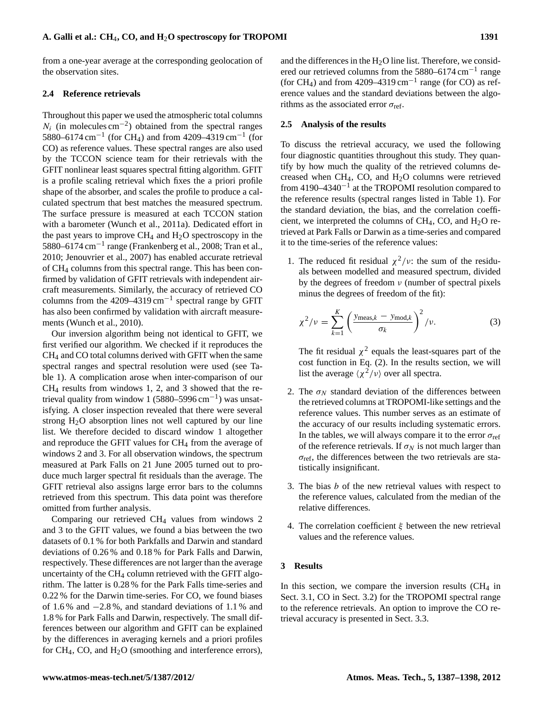from a one-year average at the corresponding geolocation of the observation sites.

# <span id="page-4-1"></span>**2.4 Reference retrievals**

Throughout this paper we used the atmospheric total columns  $N_i$  (in molecules cm<sup>-2</sup>) obtained from the spectral ranges 5880–6174 cm<sup>-1</sup> (for CH<sub>4</sub>) and from 4209–4319 cm<sup>-1</sup> (for CO) as reference values. These spectral ranges are also used by the TCCON science team for their retrievals with the GFIT nonlinear least squares spectral fitting algorithm. GFIT is a profile scaling retrieval which fixes the a priori profile shape of the absorber, and scales the profile to produce a calculated spectrum that best matches the measured spectrum. The surface pressure is measured at each TCCON station with a barometer [\(Wunch et al.,](#page-11-0) [2011a\)](#page-11-0). Dedicated effort in the past years to improve  $CH_4$  and  $H_2O$  spectroscopy in the 5880–6174  $\text{cm}^{-1}$  range [\(Frankenberg et al.,](#page-10-17) [2008;](#page-10-17) [Tran et al.,](#page-11-4) [2010;](#page-11-4) [Jenouvrier et al.,](#page-10-15) [2007\)](#page-10-15) has enabled accurate retrieval of CH<sup>4</sup> columns from this spectral range. This has been confirmed by validation of GFIT retrievals with independent aircraft measurements. Similarly, the accuracy of retrieved CO columns from the  $4209-4319$  cm<sup>-1</sup> spectral range by GFIT has also been confirmed by validation with aircraft measurements [\(Wunch et al.,](#page-11-6) [2010\)](#page-11-6).

Our inversion algorithm being not identical to GFIT, we first verified our algorithm. We checked if it reproduces the CH<sup>4</sup> and CO total columns derived with GFIT when the same spectral ranges and spectral resolution were used (see Table [1\)](#page-2-2). A complication arose when inter-comparison of our CH<sup>4</sup> results from windows 1, 2, and 3 showed that the retrieval quality from window 1 (5880–5996 cm−<sup>1</sup> ) was unsatisfying. A closer inspection revealed that there were several strong  $H<sub>2</sub>O$  absorption lines not well captured by our line list. We therefore decided to discard window 1 altogether and reproduce the GFIT values for  $CH<sub>4</sub>$  from the average of windows 2 and 3. For all observation windows, the spectrum measured at Park Falls on 21 June 2005 turned out to produce much larger spectral fit residuals than the average. The GFIT retrieval also assigns large error bars to the columns retrieved from this spectrum. This data point was therefore omitted from further analysis.

Comparing our retrieved CH<sup>4</sup> values from windows 2 and 3 to the GFIT values, we found a bias between the two datasets of 0.1 % for both Parkfalls and Darwin and standard deviations of 0.26 % and 0.18 % for Park Falls and Darwin, respectively. These differences are not larger than the average uncertainty of the  $CH_4$  column retrieved with the GFIT algorithm. The latter is 0.28 % for the Park Falls time-series and 0.22 % for the Darwin time-series. For CO, we found biases of 1.6% and  $-2.8$ %, and standard deviations of 1.1% and 1.8 % for Park Falls and Darwin, respectively. The small differences between our algorithm and GFIT can be explained by the differences in averaging kernels and a priori profiles for CH<sub>4</sub>, CO, and H<sub>2</sub>O (smoothing and interference errors),

and the differences in the  $H_2O$  line list. Therefore, we considered our retrieved columns from the 5880–6174 cm<sup>-1</sup> range (for CH<sub>4</sub>) and from 4209–4319 cm<sup>-1</sup> range (for CO) as reference values and the standard deviations between the algorithms as the associated error  $\sigma_{\text{ref}}$ .

## <span id="page-4-2"></span>**2.5 Analysis of the results**

To discuss the retrieval accuracy, we used the following four diagnostic quantities throughout this study. They quantify by how much the quality of the retrieved columns decreased when  $CH<sub>4</sub>$ , CO, and  $H<sub>2</sub>O$  columns were retrieved from 4190–4340−<sup>1</sup> at the TROPOMI resolution compared to the reference results (spectral ranges listed in Table [1\)](#page-2-2). For the standard deviation, the bias, and the correlation coefficient, we interpreted the columns of  $CH_4$ , CO, and  $H_2O$  retrieved at Park Falls or Darwin as a time-series and compared it to the time-series of the reference values:

1. The reduced fit residual  $\chi^2/\nu$ : the sum of the residuals between modelled and measured spectrum, divided by the degrees of freedom  $\nu$  (number of spectral pixels minus the degrees of freedom of the fit):

$$
\chi^2/\nu = \sum_{k=1}^K \left(\frac{y_{\text{meas},k} - y_{\text{mod},k}}{\sigma_k}\right)^2/\nu.
$$
 (3)

The fit residual  $\chi^2$  equals the least-squares part of the cost function in Eq. [\(2\)](#page-3-3). In the results section, we will list the average  $\langle \chi^2/\nu \rangle$  over all spectra.

- 2. The  $\sigma_N$  standard deviation of the differences between the retrieved columns at TROPOMI-like settings and the reference values. This number serves as an estimate of the accuracy of our results including systematic errors. In the tables, we will always compare it to the error  $\sigma_{ref}$ of the reference retrievals. If  $\sigma_N$  is not much larger than  $\sigma_{\text{ref}}$ , the differences between the two retrievals are statistically insignificant.
- 3. The bias b of the new retrieval values with respect to the reference values, calculated from the median of the relative differences.
- 4. The correlation coefficient  $\xi$  between the new retrieval values and the reference values.

# <span id="page-4-0"></span>**3 Results**

In this section, we compare the inversion results  $(CH<sub>4</sub>$  in Sect. [3.1,](#page-5-0) CO in Sect. [3.2\)](#page-6-0) for the TROPOMI spectral range to the reference retrievals. An option to improve the CO retrieval accuracy is presented in Sect. [3.3.](#page-9-1)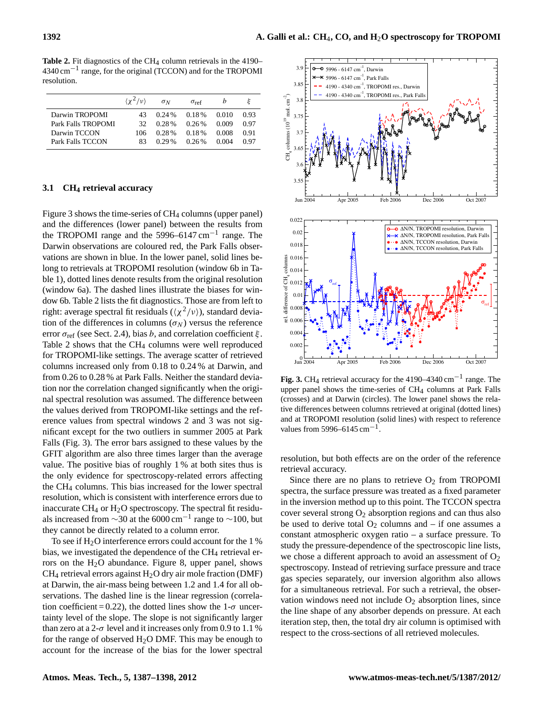<span id="page-5-2"></span>**Table 2.** Fit diagnostics of the CH<sub>4</sub> column retrievals in the  $4190-$ 4340 cm−<sup>1</sup> range, for the original (TCCON) and for the TROPOMI resolution.

|                    | $\langle \gamma^2/\nu \rangle$ | $\sigma_N$ | $\sigma_{\rm ref}$ | h     |      |
|--------------------|--------------------------------|------------|--------------------|-------|------|
| Darwin TROPOMI     | 43                             | 0.24 %     | 0.18%              | 0.010 | 0.93 |
| Park Falls TROPOMI | 32.                            | 0.28%      | 0.26%              | 0.009 | 0.97 |
| Darwin TCCON       | 106                            | 0.28%      | 0.18%              | 0.008 | 0.91 |
| Park Falls TCCON   | 83                             | $0.29\%$   | 0.26%              | 0.004 | 0.97 |

### <span id="page-5-0"></span>**3.1 CH<sup>4</sup> retrieval accuracy**

Figure [3](#page-5-1) shows the time-series of CH<sub>4</sub> columns (upper panel) and the differences (lower panel) between the results from the TROPOMI range and the 5996–6147 cm<sup>-1</sup> range. The Darwin observations are coloured red, the Park Falls observations are shown in blue. In the lower panel, solid lines belong to retrievals at TROPOMI resolution (window 6b in Table [1\)](#page-2-2), dotted lines denote results from the original resolution (window 6a). The dashed lines illustrate the biases for window 6b. Table [2](#page-5-2) lists the fit diagnostics. Those are from left to right: average spectral fit residuals  $(\langle \chi^2/\nu \rangle)$ , standard deviation of the differences in columns ( $\sigma_N$ ) versus the reference error  $\sigma_{ref}$  (see Sect. [2.4\)](#page-4-1), bias b, and correlation coefficient  $\xi$ . Table [2](#page-5-2) shows that the  $CH_4$  columns were well reproduced for TROPOMI-like settings. The average scatter of retrieved columns increased only from 0.18 to 0.24 % at Darwin, and from 0.26 to 0.28 % at Park Falls. Neither the standard deviation nor the correlation changed significantly when the original spectral resolution was assumed. The difference between the values derived from TROPOMI-like settings and the reference values from spectral windows 2 and 3 was not significant except for the two outliers in summer 2005 at Park Falls (Fig. [3\)](#page-5-1). The error bars assigned to these values by the GFIT algorithm are also three times larger than the average value. The positive bias of roughly 1 % at both sites thus is the only evidence for spectroscopy-related errors affecting the CH<sup>4</sup> columns. This bias increased for the lower spectral resolution, which is consistent with interference errors due to inaccurate  $CH_4$  or  $H_2O$  spectroscopy. The spectral fit residuals increased from  $\sim$ 30 at the 6000 cm<sup>-1</sup> range to  $\sim$ 100, but they cannot be directly related to a column error.

To see if  $H_2O$  interference errors could account for the 1 % bias, we investigated the dependence of the CH<sub>4</sub> retrieval errors on the  $H_2O$  abundance. Figure [8,](#page-8-0) upper panel, shows  $CH<sub>4</sub>$  retrieval errors against  $H<sub>2</sub>O$  dry air mole fraction (DMF) at Darwin, the air-mass being between 1.2 and 1.4 for all observations. The dashed line is the linear regression (correlation coefficient = 0.22), the dotted lines show the  $1-\sigma$  uncertainty level of the slope. The slope is not significantly larger than zero at a 2- $\sigma$  level and it increases only from 0.9 to 1.1 % for the range of observed  $H_2O$  DMF. This may be enough to account for the increase of the bias for the lower spectral

![](_page_5_Figure_6.jpeg)

<span id="page-5-1"></span>**Fig. 3.** CH<sub>4</sub> retrieval accuracy for the 4190–4340 cm<sup>-1</sup> range. The upper panel shows the time-series of  $CH<sub>4</sub>$  columns at Park Falls (crosses) and at Darwin (circles). The lower panel shows the relative differences between columns retrieved at original (dotted lines) and at TROPOMI resolution (solid lines) with respect to reference values from 5996–6145  $\text{cm}^{-1}$ .

resolution, but both effects are on the order of the reference retrieval accuracy.

Since there are no plans to retrieve  $O_2$  from TROPOMI spectra, the surface pressure was treated as a fixed parameter in the inversion method up to this point. The TCCON spectra cover several strong  $O_2$  absorption regions and can thus also be used to derive total  $O_2$  columns and – if one assumes a constant atmospheric oxygen ratio – a surface pressure. To study the pressure-dependence of the spectroscopic line lists, we chose a different approach to avoid an assessment of  $O<sub>2</sub>$ spectroscopy. Instead of retrieving surface pressure and trace gas species separately, our inversion algorithm also allows for a simultaneous retrieval. For such a retrieval, the observation windows need not include  $O<sub>2</sub>$  absorption lines, since the line shape of any absorber depends on pressure. At each iteration step, then, the total dry air column is optimised with respect to the cross-sections of all retrieved molecules.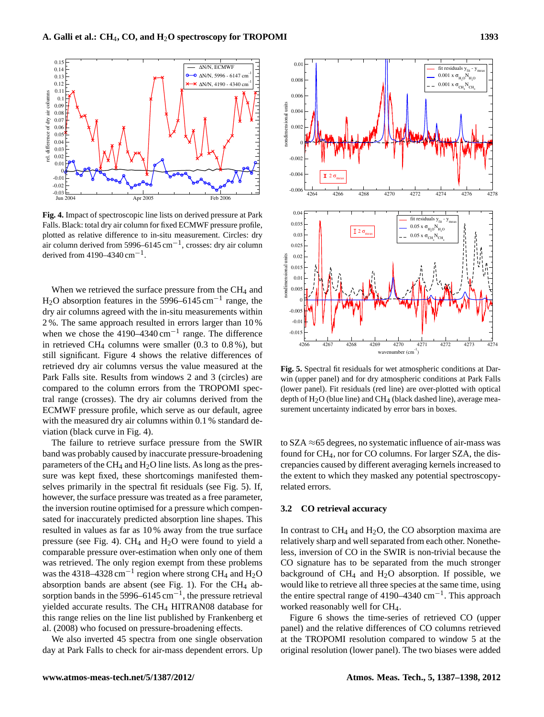![](_page_6_Figure_1.jpeg)

<span id="page-6-1"></span>**Fig. 4.** Impact of spectroscopic line lists on derived pressure at Park Falls. Black: total dry air column for fixed ECMWF pressure profile, plotted as relative difference to in-situ measurement. Circles: dry air column derived from 5996–6145 cm<sup>-1</sup>, crosses: dry air column derived from  $4190 - 4340$  cm<sup>-1</sup>.

When we retrieved the surface pressure from the CH<sub>4</sub> and H<sub>2</sub>O absorption features in the 5996–6145 cm<sup>-1</sup> range, the dry air columns agreed with the in-situ measurements within 2 %. The same approach resulted in errors larger than 10 % when we chose the 4190–4340 cm<sup>-1</sup> range. The difference in retrieved CH<sub>4</sub> columns were smaller  $(0.3 \text{ to } 0.8 \text{ %})$ , but still significant. Figure [4](#page-6-1) shows the relative differences of retrieved dry air columns versus the value measured at the Park Falls site. Results from windows 2 and 3 (circles) are compared to the column errors from the TROPOMI spectral range (crosses). The dry air columns derived from the ECMWF pressure profile, which serve as our default, agree with the measured dry air columns within 0.1 % standard deviation (black curve in Fig. [4\)](#page-6-1).

The failure to retrieve surface pressure from the SWIR band was probably caused by inaccurate pressure-broadening parameters of the CH<sub>4</sub> and H<sub>2</sub>O line lists. As long as the pressure was kept fixed, these shortcomings manifested themselves primarily in the spectral fit residuals (see Fig. [5\)](#page-6-2). If, however, the surface pressure was treated as a free parameter, the inversion routine optimised for a pressure which compensated for inaccurately predicted absorption line shapes. This resulted in values as far as 10 % away from the true surface pressure (see Fig. [4\)](#page-6-1).  $CH_4$  and  $H_2O$  were found to yield a comparable pressure over-estimation when only one of them was retrieved. The only region exempt from these problems was the 4318–4328 cm<sup>-1</sup> region where strong CH<sub>4</sub> and H<sub>2</sub>O absorption bands are absent (see Fig. [1\)](#page-3-1). For the  $CH<sub>4</sub>$  absorption bands in the 5996–6145  $cm^{-1}$ , the pressure retrieval yielded accurate results. The CH<sup>4</sup> HITRAN08 database for this range relies on the line list published by [Frankenberg et](#page-10-17) [al.](#page-10-17) [\(2008\)](#page-10-17) who focused on pressure-broadening effects.

We also inverted 45 spectra from one single observation day at Park Falls to check for air-mass dependent errors. Up

![](_page_6_Figure_6.jpeg)

<span id="page-6-2"></span>**Fig. 5.** Spectral fit residuals for wet atmospheric conditions at Darwin (upper panel) and for dry atmospheric conditions at Park Falls (lower panel). Fit residuals (red line) are over-plotted with optical depth of  $H_2O$  (blue line) and CH<sub>4</sub> (black dashed line), average measurement uncertainty indicated by error bars in boxes.

to SZA  $\approx$  65 degrees, no systematic influence of air-mass was found for CH4, nor for CO columns. For larger SZA, the discrepancies caused by different averaging kernels increased to the extent to which they masked any potential spectroscopyrelated errors.

#### <span id="page-6-0"></span>**3.2 CO retrieval accuracy**

In contrast to  $CH_4$  and  $H_2O$ , the CO absorption maxima are relatively sharp and well separated from each other. Nonetheless, inversion of CO in the SWIR is non-trivial because the CO signature has to be separated from the much stronger background of  $CH_4$  and  $H_2O$  absorption. If possible, we would like to retrieve all three species at the same time, using the entire spectral range of 4190–4340 cm−<sup>1</sup> . This approach worked reasonably well for CH4.

Figure [6](#page-7-0) shows the time-series of retrieved CO (upper panel) and the relative differences of CO columns retrieved at the TROPOMI resolution compared to window 5 at the original resolution (lower panel). The two biases were added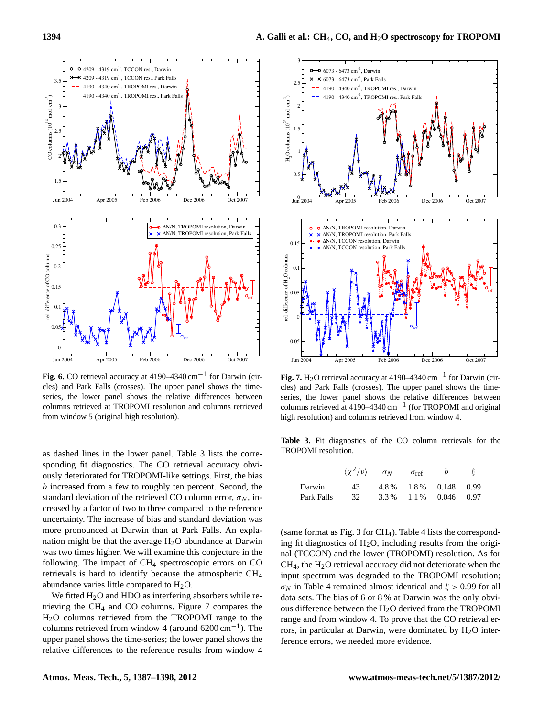![](_page_7_Figure_2.jpeg)

<span id="page-7-0"></span>**Fig. 6.** CO retrieval accuracy at 4190–4340 cm−<sup>1</sup> for Darwin (circles) and Park Falls (crosses). The upper panel shows the timeseries, the lower panel shows the relative differences between columns retrieved at TROPOMI resolution and columns retrieved from window 5 (original high resolution).

as dashed lines in the lower panel. Table [3](#page-7-1) lists the corresponding fit diagnostics. The CO retrieval accuracy obviously deteriorated for TROPOMI-like settings. First, the bias b increased from a few to roughly ten percent. Second, the standard deviation of the retrieved CO column error,  $\sigma_N$ , increased by a factor of two to three compared to the reference uncertainty. The increase of bias and standard deviation was more pronounced at Darwin than at Park Falls. An explanation might be that the average  $H_2O$  abundance at Darwin was two times higher. We will examine this conjecture in the following. The impact of CH<sup>4</sup> spectroscopic errors on CO retrievals is hard to identify because the atmospheric CH<sup>4</sup> abundance varies little compared to  $H<sub>2</sub>O$ .

We fitted  $H_2O$  and HDO as interfering absorbers while retrieving the CH<sup>4</sup> and CO columns. Figure [7](#page-7-2) compares the H2O columns retrieved from the TROPOMI range to the columns retrieved from window 4 (around  $6200 \text{ cm}^{-1}$ ). The upper panel shows the time-series; the lower panel shows the relative differences to the reference results from window 4

![](_page_7_Figure_6.jpeg)

<span id="page-7-2"></span>**Fig. 7.** H<sub>2</sub>O retrieval accuracy at 4190–4340 cm<sup>-1</sup> for Darwin (circles) and Park Falls (crosses). The upper panel shows the timeseries, the lower panel shows the relative differences between columns retrieved at 4190–4340 cm−<sup>1</sup> (for TROPOMI and original high resolution) and columns retrieved from window 4.

<span id="page-7-1"></span>**Table 3.** Fit diagnostics of the CO column retrievals for the TROPOMI resolution.

|            | $\langle \chi^2/\nu \rangle$ | $\sigma_N$ | $\sigma_{\rm ref}$ |       |      |
|------------|------------------------------|------------|--------------------|-------|------|
| Darwin     | 43                           | 4.8%       | 1.8%               | 0.148 | 0.99 |
| Park Falls | 32                           | 3.3%       | $1.1\%$            | 0.046 | 0.97 |

(same format as Fig. [3](#page-5-1) for  $CH<sub>4</sub>$  $CH<sub>4</sub>$  $CH<sub>4</sub>$ ). Table 4 lists the corresponding fit diagnostics of  $H_2O$ , including results from the original (TCCON) and the lower (TROPOMI) resolution. As for  $CH<sub>4</sub>$ , the H<sub>2</sub>O retrieval accuracy did not deteriorate when the input spectrum was degraded to the TROPOMI resolution;  $\sigma_N$  in Table [4](#page-8-1) remained almost identical and  $\xi > 0.99$  for all data sets. The bias of 6 or 8 % at Darwin was the only obvious difference between the H2O derived from the TROPOMI range and from window 4. To prove that the CO retrieval errors, in particular at Darwin, were dominated by  $H_2O$  interference errors, we needed more evidence.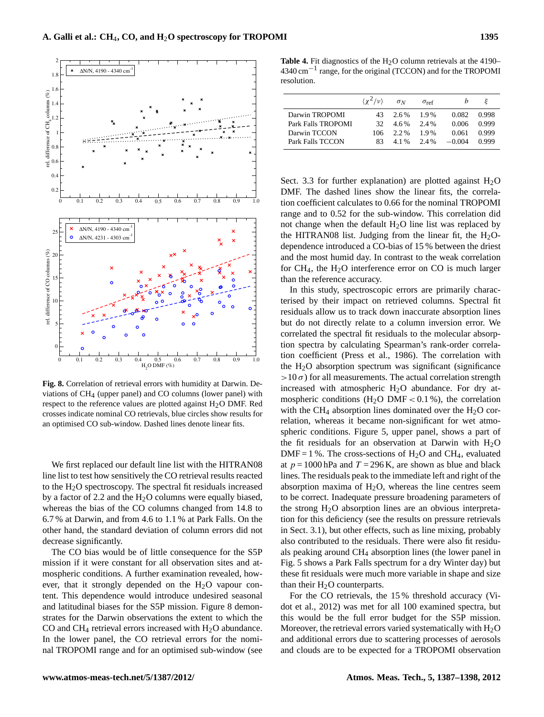![](_page_8_Figure_1.jpeg)

<span id="page-8-0"></span>**Fig. 8.** Correlation of retrieval errors with humidity at Darwin. Deviations of CH4 (upper panel) and CO columns (lower panel) with respect to the reference values are plotted against H<sub>2</sub>O DMF. Red crosses indicate nominal CO retrievals, blue circles show results for an optimised CO sub-window. Dashed lines denote linear fits.

We first replaced our default line list with the HITRAN08 line list to test how sensitively the CO retrieval results reacted to the H2O spectroscopy. The spectral fit residuals increased by a factor of 2.2 and the  $H_2O$  columns were equally biased, whereas the bias of the CO columns changed from 14.8 to 6.7 % at Darwin, and from 4.6 to 1.1 % at Park Falls. On the other hand, the standard deviation of column errors did not decrease significantly.

The CO bias would be of little consequence for the S5P mission if it were constant for all observation sites and atmospheric conditions. A further examination revealed, however, that it strongly depended on the  $H<sub>2</sub>O$  vapour content. This dependence would introduce undesired seasonal and latitudinal biases for the S5P mission. Figure [8](#page-8-0) demonstrates for the Darwin observations the extent to which the CO and CH<sub>4</sub> retrieval errors increased with  $H<sub>2</sub>$ O abundance. In the lower panel, the CO retrieval errors for the nominal TROPOMI range and for an optimised sub-window (see

<span id="page-8-1"></span>**Table 4.** Fit diagnostics of the  $H_2O$  column retrievals at the 4190– 4340 cm−<sup>1</sup> range, for the original (TCCON) and for the TROPOMI resolution.

|                    | $\langle \gamma^2/\nu \rangle$ | $\sigma_N$ | $\sigma_{\rm ref}$ |          | ξ     |
|--------------------|--------------------------------|------------|--------------------|----------|-------|
| Darwin TROPOMI     | 43                             | 2.6%       | 1.9%               | 0.082    | 0.998 |
| Park Falls TROPOMI | 32.                            | 4.6%       | $2.4\%$            | 0.006    | 0.999 |
| Darwin TCCON       | 106.                           | $2.2\%$    | 1.9%               | 0.061    | 0.999 |
| Park Falls TCCON   | 83                             | 4.1%       | 2.4%               | $-0.004$ | 0.999 |

Sect. [3.3](#page-9-1) for further explanation) are plotted against  $H_2O$ DMF. The dashed lines show the linear fits, the correlation coefficient calculates to 0.66 for the nominal TROPOMI range and to 0.52 for the sub-window. This correlation did not change when the default  $H<sub>2</sub>O$  line list was replaced by the HITRAN08 list. Judging from the linear fit, the  $H_2O$ dependence introduced a CO-bias of 15 % between the driest and the most humid day. In contrast to the weak correlation for  $CH_4$ , the  $H_2O$  interference error on CO is much larger than the reference accuracy.

In this study, spectroscopic errors are primarily characterised by their impact on retrieved columns. Spectral fit residuals allow us to track down inaccurate absorption lines but do not directly relate to a column inversion error. We correlated the spectral fit residuals to the molecular absorption spectra by calculating Spearman's rank-order correlation coefficient [\(Press et al.,](#page-11-13) [1986\)](#page-11-13). The correlation with the  $H_2O$  absorption spectrum was significant (significance  $>10\sigma$ ) for all measurements. The actual correlation strength increased with atmospheric  $H<sub>2</sub>O$  abundance. For dry atmospheric conditions (H<sub>2</sub>O DMF <  $0.1\%$ ), the correlation with the CH<sub>4</sub> absorption lines dominated over the H<sub>2</sub>O correlation, whereas it became non-significant for wet atmospheric conditions. Figure [5,](#page-6-2) upper panel, shows a part of the fit residuals for an observation at Darwin with  $H_2O$  $DMF = 1$ %. The cross-sections of H<sub>2</sub>O and CH<sub>4</sub>, evaluated at  $p = 1000$  hPa and  $T = 296$  K, are shown as blue and black lines. The residuals peak to the immediate left and right of the absorption maxima of  $H<sub>2</sub>O$ , whereas the line centres seem to be correct. Inadequate pressure broadening parameters of the strong  $H_2O$  absorption lines are an obvious interpretation for this deficiency (see the results on pressure retrievals in Sect. [3.1\)](#page-5-0), but other effects, such as line mixing, probably also contributed to the residuals. There were also fit residuals peaking around CH<sup>4</sup> absorption lines (the lower panel in Fig. [5](#page-6-2) shows a Park Falls spectrum for a dry Winter day) but these fit residuals were much more variable in shape and size than their  $H_2O$  counterparts.

For the CO retrievals, the 15 % threshold accuracy [\(Vi](#page-11-7)[dot et al.,](#page-11-7) [2012\)](#page-11-7) was met for all 100 examined spectra, but this would be the full error budget for the S5P mission. Moreover, the retrieval errors varied systematically with  $H_2O$ and additional errors due to scattering processes of aerosols and clouds are to be expected for a TROPOMI observation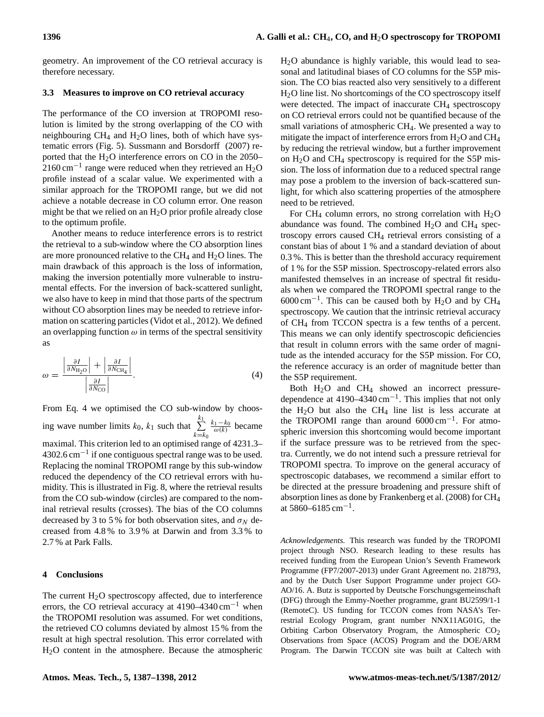geometry. An improvement of the CO retrieval accuracy is therefore necessary.

## <span id="page-9-1"></span>**3.3 Measures to improve on CO retrieval accuracy**

The performance of the CO inversion at TROPOMI resolution is limited by the strong overlapping of the CO with neighbouring  $CH_4$  and  $H_2O$  lines, both of which have systematic errors (Fig. [5\)](#page-6-2). [Sussmann and Borsdorff](#page-11-14) [\(2007\)](#page-11-14) reported that the  $H_2O$  interference errors on CO in the 2050–  $2160 \text{ cm}^{-1}$  range were reduced when they retrieved an H<sub>2</sub>O profile instead of a scalar value. We experimented with a similar approach for the TROPOMI range, but we did not achieve a notable decrease in CO column error. One reason might be that we relied on an  $H<sub>2</sub>O$  prior profile already close to the optimum profile.

Another means to reduce interference errors is to restrict the retrieval to a sub-window where the CO absorption lines are more pronounced relative to the  $CH_4$  and  $H_2O$  lines. The main drawback of this approach is the loss of information, making the inversion potentially more vulnerable to instrumental effects. For the inversion of back-scattered sunlight, we also have to keep in mind that those parts of the spectrum without CO absorption lines may be needed to retrieve information on scattering particles [\(Vidot et al.,](#page-11-7) [2012\)](#page-11-7). We defined an overlapping function  $\omega$  in terms of the spectral sensitivity as

<span id="page-9-2"></span>
$$
\omega = \frac{\left| \frac{\partial I}{\partial N_{\text{H}_2\text{O}}} \right| + \left| \frac{\partial I}{\partial N_{\text{CH}_4}} \right|}{\left| \frac{\partial I}{\partial N_{\text{CO}}} \right|}.
$$
\n(4)

From Eq. [4](#page-9-2) we optimised the CO sub-window by choosing wave number limits  $k_0$ ,  $k_1$  such that  $\sum_{n=1}^{k_1}$  $k=$ k<sub>0</sub>  $\frac{k_1 - k_0}{\omega(k)}$  became maximal. This criterion led to an optimised range of 4231.3– 4302.6 cm−<sup>1</sup> if one contiguous spectral range was to be used. Replacing the nominal TROPOMI range by this sub-window reduced the dependency of the CO retrieval errors with humidity. This is illustrated in Fig. [8,](#page-8-0) where the retrieval results from the CO sub-window (circles) are compared to the nominal retrieval results (crosses). The bias of the CO columns decreased by 3 to 5 % for both observation sites, and  $\sigma_N$  decreased from 4.8 % to 3.9 % at Darwin and from 3.3 % to 2.7 % at Park Falls.

## <span id="page-9-0"></span>**4 Conclusions**

The current  $H_2O$  spectroscopy affected, due to interference errors, the CO retrieval accuracy at 4190–4340 cm<sup>-1</sup> when the TROPOMI resolution was assumed. For wet conditions, the retrieved CO columns deviated by almost 15 % from the result at high spectral resolution. This error correlated with H2O content in the atmosphere. Because the atmospheric H2O abundance is highly variable, this would lead to seasonal and latitudinal biases of CO columns for the S5P mission. The CO bias reacted also very sensitively to a different H2O line list. No shortcomings of the CO spectroscopy itself were detected. The impact of inaccurate  $CH<sub>4</sub>$  spectroscopy on CO retrieval errors could not be quantified because of the small variations of atmospheric CH<sub>4</sub>. We presented a way to mitigate the impact of interference errors from  $H_2O$  and  $CH_4$ by reducing the retrieval window, but a further improvement on  $H<sub>2</sub>O$  and CH<sub>4</sub> spectroscopy is required for the S5P mission. The loss of information due to a reduced spectral range may pose a problem to the inversion of back-scattered sunlight, for which also scattering properties of the atmosphere need to be retrieved.

For CH<sub>4</sub> column errors, no strong correlation with  $H_2O$ abundance was found. The combined  $H_2O$  and  $CH_4$  spectroscopy errors caused CH<sup>4</sup> retrieval errors consisting of a constant bias of about 1 % and a standard deviation of about 0.3 %. This is better than the threshold accuracy requirement of 1 % for the S5P mission. Spectroscopy-related errors also manifested themselves in an increase of spectral fit residuals when we compared the TROPOMI spectral range to the 6000 cm−<sup>1</sup> . This can be caused both by H2O and by CH<sup>4</sup> spectroscopy. We caution that the intrinsic retrieval accuracy of CH<sup>4</sup> from TCCON spectra is a few tenths of a percent. This means we can only identify spectroscopic deficiencies that result in column errors with the same order of magnitude as the intended accuracy for the S5P mission. For CO, the reference accuracy is an order of magnitude better than the S5P requirement.

Both H2O and CH<sup>4</sup> showed an incorrect pressuredependence at 4190–4340 cm−<sup>1</sup> . This implies that not only the  $H_2O$  but also the CH<sub>4</sub> line list is less accurate at the TROPOMI range than around 6000 cm−<sup>1</sup> . For atmospheric inversion this shortcoming would become important if the surface pressure was to be retrieved from the spectra. Currently, we do not intend such a pressure retrieval for TROPOMI spectra. To improve on the general accuracy of spectroscopic databases, we recommend a similar effort to be directed at the pressure broadening and pressure shift of absorption lines as done by [Frankenberg et al.](#page-10-17) [\(2008\)](#page-10-17) for CH<sup>4</sup> at 5860–6185 cm−<sup>1</sup> .

*Acknowledgements.* This research was funded by the TROPOMI project through NSO. Research leading to these results has received funding from the European Union's Seventh Framework Programme (FP7/2007-2013) under Grant Agreement no. 218793, and by the Dutch User Support Programme under project GO-AO/16. A. Butz is supported by Deutsche Forschungsgemeinschaft (DFG) through the Emmy-Noether programme, grant BU2599/1-1 (RemoteC). US funding for TCCON comes from NASA's Terrestrial Ecology Program, grant number NNX11AG01G, the Orbiting Carbon Observatory Program, the Atmospheric  $CO<sub>2</sub>$ Observations from Space (ACOS) Program and the DOE/ARM Program. The Darwin TCCON site was built at Caltech with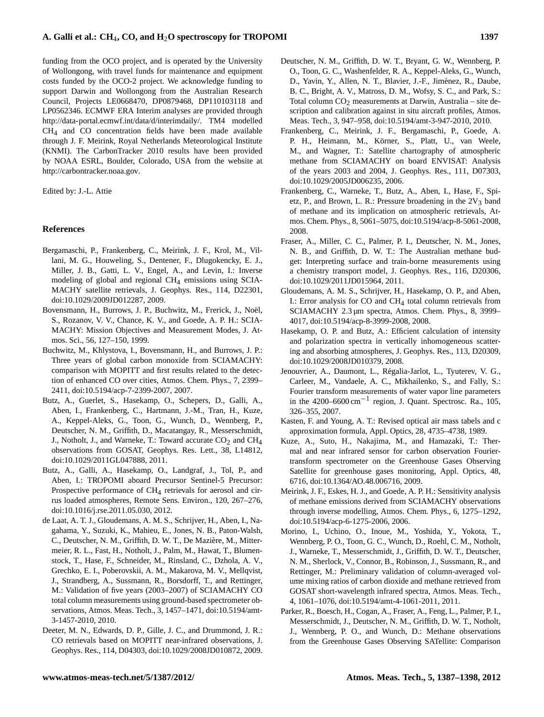funding from the OCO project, and is operated by the University of Wollongong, with travel funds for maintenance and equipment costs funded by the OCO-2 project. We acknowledge funding to support Darwin and Wollongong from the Australian Research Council, Projects LE0668470, DP0879468, DP110103118 and LP0562346. ECMWF ERA Interim analyses are provided through [http://data-portal.ecmwf.int/data/d/interimdaily/.](http://data-portal.ecmwf.int/data/d/interim daily/) TM4 modelled CH4 and CO concentration fields have been made available through J. F. Meirink, Royal Netherlands Meteorological Institute (KNMI). The CarbonTracker 2010 results have been provided by NOAA ESRL, Boulder, Colorado, USA from the website at [http://carbontracker.noaa.gov.](http://carbontracker.noaa.gov)

Edited by: J.-L. Attie

## **References**

- <span id="page-10-6"></span>Bergamaschi, P., Frankenberg, C., Meirink, J. F., Krol, M., Villani, M. G., Houweling, S., Dentener, F., Dlugokencky, E. J., Miller, J. B., Gatti, L. V., Engel, A., and Levin, I.: Inverse modeling of global and regional CH4 emissions using SCIA-MACHY satellite retrievals, J. Geophys. Res., 114, D22301, [doi:10.1029/2009JD012287,](http://dx.doi.org/10.1029/2009JD012287) 2009.
- <span id="page-10-4"></span>Bovensmann, H., Burrows, J. P., Buchwitz, M., Frerick, J., Noël, S., Rozanov, V. V., Chance, K. V., and Goede, A. P. H.: SCIA-MACHY: Mission Objectives and Measurement Modes, J. Atmos. Sci., 56, 127–150, 1999.
- <span id="page-10-7"></span>Buchwitz, M., Khlystova, I., Bovensmann, H., and Burrows, J. P.: Three years of global carbon monoxide from SCIAMACHY: comparison with MOPITT and first results related to the detection of enhanced CO over cities, Atmos. Chem. Phys., 7, 2399– 2411, [doi:10.5194/acp-7-2399-2007,](http://dx.doi.org/10.5194/acp-7-2399-2007) 2007.
- <span id="page-10-0"></span>Butz, A., Guerlet, S., Hasekamp, O., Schepers, D., Galli, A., Aben, I., Frankenberg, C., Hartmann, J.-M., Tran, H., Kuze, A., Keppel-Aleks, G., Toon, G., Wunch, D., Wennberg, P., Deutscher, N. M., Griffith, D., Macatangay, R., Messerschmidt, J., Notholt, J., and Warneke, T.: Toward accurate CO<sub>2</sub> and CH<sub>4</sub> observations from GOSAT, Geophys. Res. Lett., 38, L14812, [doi:10.1029/2011GL047888,](http://dx.doi.org/10.1029/2011GL047888) 2011.
- <span id="page-10-11"></span>Butz, A., Galli, A., Hasekamp, O., Landgraf, J., Tol, P., and Aben, I.: TROPOMI aboard Precursor Sentinel-5 Precursor: Prospective performance of CH<sub>4</sub> retrievals for aerosol and cirrus loaded atmospheres, Remote Sens. Environ., 120, 267–276, [doi:10.1016/j.rse.2011.05.030,](http://dx.doi.org/10.1016/j.rse.2011.05.030) 2012.
- <span id="page-10-8"></span>de Laat, A. T. J., Gloudemans, A. M. S., Schrijver, H., Aben, I., Nagahama, Y., Suzuki, K., Mahieu, E., Jones, N. B., Paton-Walsh, C., Deutscher, N. M., Griffith, D. W. T., De Mazière, M., Mittermeier, R. L., Fast, H., Notholt, J., Palm, M., Hawat, T., Blumenstock, T., Hase, F., Schneider, M., Rinsland, C., Dzhola, A. V., Grechko, E. I., Poberovskii, A. M., Makarova, M. V., Mellqvist, J., Strandberg, A., Sussmann, R., Borsdorff, T., and Rettinger, M.: Validation of five years (2003–2007) of SCIAMACHY CO total column measurements using ground-based spectrometer observations, Atmos. Meas. Tech., 3, 1457–1471, [doi:10.5194/amt-](http://dx.doi.org/10.5194/amt-3-1457-2010)[3-1457-2010,](http://dx.doi.org/10.5194/amt-3-1457-2010) 2010.
- <span id="page-10-10"></span>Deeter, M. N., Edwards, D. P., Gille, J. C., and Drummond, J. R.: CO retrievals based on MOPITT near-infrared observations, J. Geophys. Res., 114, D04303, [doi:10.1029/2008JD010872,](http://dx.doi.org/10.1029/2008JD010872) 2009.
- <span id="page-10-12"></span>Deutscher, N. M., Griffith, D. W. T., Bryant, G. W., Wennberg, P. O., Toon, G. C., Washenfelder, R. A., Keppel-Aleks, G., Wunch, D., Yavin, Y., Allen, N. T., Blavier, J.-F., Jiménez, R., Daube, B. C., Bright, A. V., Matross, D. M., Wofsy, S. C., and Park, S.: Total column  $CO<sub>2</sub>$  measurements at Darwin, Australia – site description and calibration against in situ aircraft profiles, Atmos. Meas. Tech., 3, 947–958, [doi:10.5194/amt-3-947-2010,](http://dx.doi.org/10.5194/amt-3-947-2010) 2010.
- <span id="page-10-5"></span>Frankenberg, C., Meirink, J. F., Bergamaschi, P., Goede, A. P. H., Heimann, M., Körner, S., Platt, U., van Weele, M., and Wagner, T.: Satellite chartography of atmospheric methane from SCIAMACHY on board ENVISAT: Analysis of the years 2003 and 2004, J. Geophys. Res., 111, D07303, [doi:10.1029/2005JD006235,](http://dx.doi.org/10.1029/2005JD006235) 2006.
- <span id="page-10-17"></span>Frankenberg, C., Warneke, T., Butz, A., Aben, I., Hase, F., Spietz, P., and Brown, L. R.: Pressure broadening in the  $2V_3$  band of methane and its implication on atmospheric retrievals, Atmos. Chem. Phys., 8, 5061–5075, [doi:10.5194/acp-8-5061-2008,](http://dx.doi.org/10.5194/acp-8-5061-2008) 2008.
- <span id="page-10-3"></span>Fraser, A., Miller, C. C., Palmer, P. I., Deutscher, N. M., Jones, N. B., and Griffith, D. W. T.: The Australian methane budget: Interpreting surface and train-borne measurements using a chemistry transport model, J. Geophys. Res., 116, D20306, [doi:10.1029/2011JD015964,](http://dx.doi.org/10.1029/2011JD015964) 2011.
- Gloudemans, A. M. S., Schrijver, H., Hasekamp, O. P., and Aben, I.: Error analysis for CO and CH4 total column retrievals from SCIAMACHY 2.3 µm spectra, Atmos. Chem. Phys., 8, 3999– 4017, [doi:10.5194/acp-8-3999-2008,](http://dx.doi.org/10.5194/acp-8-3999-2008) 2008.
- <span id="page-10-13"></span>Hasekamp, O. P. and Butz, A.: Efficient calculation of intensity and polarization spectra in vertically inhomogeneous scattering and absorbing atmospheres, J. Geophys. Res., 113, D20309, [doi:10.1029/2008JD010379,](http://dx.doi.org/10.1029/2008JD010379) 2008.
- <span id="page-10-15"></span>Jenouvrier, A., Daumont, L., Régalia-Jarlot, L., Tyuterev, V. G., Carleer, M., Vandaele, A. C., Mikhailenko, S., and Fally, S.: Fourier transform measurements of water vapor line parameters in the  $4200-6600 \text{ cm}^{-1}$  region, J. Quant. Spectrosc. Ra., 105, 326–355, 2007.
- <span id="page-10-14"></span>Kasten, F. and Young, A. T.: Revised optical air mass tabels and c approximation formula, Appl. Optics, 28, 4735–4738, 1989.
- <span id="page-10-9"></span>Kuze, A., Suto, H., Nakajima, M., and Hamazaki, T.: Thermal and near infrared sensor for carbon observation Fouriertransform spectrometer on the Greenhouse Gases Observing Satellite for greenhouse gases monitoring, Appl. Optics, 48, 6716, [doi:10.1364/AO.48.006716,](http://dx.doi.org/10.1364/AO.48.006716) 2009.
- <span id="page-10-16"></span>Meirink, J. F., Eskes, H. J., and Goede, A. P. H.: Sensitivity analysis of methane emissions derived from SCIAMACHY observations through inverse modelling, Atmos. Chem. Phys., 6, 1275–1292, [doi:10.5194/acp-6-1275-2006,](http://dx.doi.org/10.5194/acp-6-1275-2006) 2006.
- <span id="page-10-1"></span>Morino, I., Uchino, O., Inoue, M., Yoshida, Y., Yokota, T., Wennberg, P. O., Toon, G. C., Wunch, D., Roehl, C. M., Notholt, J., Warneke, T., Messerschmidt, J., Griffith, D. W. T., Deutscher, N. M., Sherlock, V., Connor, B., Robinson, J., Sussmann, R., and Rettinger, M.: Preliminary validation of column-averaged volume mixing ratios of carbon dioxide and methane retrieved from GOSAT short-wavelength infrared spectra, Atmos. Meas. Tech., 4, 1061–1076, [doi:10.5194/amt-4-1061-2011,](http://dx.doi.org/10.5194/amt-4-1061-2011) 2011.
- <span id="page-10-2"></span>Parker, R., Boesch, H., Cogan, A., Fraser, A., Feng, L., Palmer, P. I., Messerschmidt, J., Deutscher, N. M., Griffith, D. W. T., Notholt, J., Wennberg, P. O., and Wunch, D.: Methane observations from the Greenhouse Gases Observing SATellite: Comparison